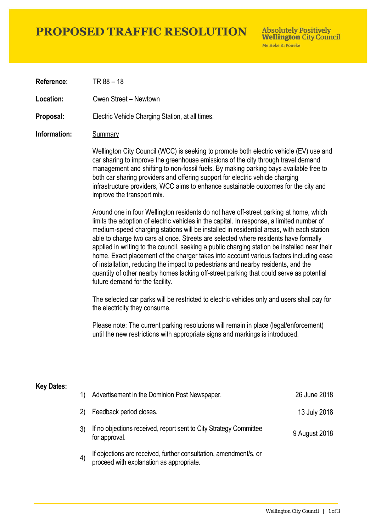# **PROPOSED TRAFFIC RESOLUTION**

**Absolutely Positively Wellington City Council** Me Heke Ki Pôneke

**Reference:** TR 88 – 18

**Location:** Owen Street – Newtown

**Proposal:** Electric Vehicle Charging Station, at all times.

### **Information:** Summary

Wellington City Council (WCC) is seeking to promote both electric vehicle (EV) use and car sharing to improve the greenhouse emissions of the city through travel demand management and shifting to non-fossil fuels. By making parking bays available free to both car sharing providers and offering support for electric vehicle charging infrastructure providers, WCC aims to enhance sustainable outcomes for the city and improve the transport mix.

Around one in four Wellington residents do not have off-street parking at home, which limits the adoption of electric vehicles in the capital. In response, a limited number of medium-speed charging stations will be installed in residential areas, with each station able to charge two cars at once. Streets are selected where residents have formally applied in writing to the council, seeking a public charging station be installed near their home. Exact placement of the charger takes into account various factors including ease of installation, reducing the impact to pedestrians and nearby residents, and the quantity of other nearby homes lacking off-street parking that could serve as potential future demand for the facility.

The selected car parks will be restricted to electric vehicles only and users shall pay for the electricity they consume.

Please note: The current parking resolutions will remain in place (legal/enforcement) until the new restrictions with appropriate signs and markings is introduced.

#### **Key Dates:**

| 1)                | Advertisement in the Dominion Post Newspaper.                                                                 | 26 June 2018  |
|-------------------|---------------------------------------------------------------------------------------------------------------|---------------|
| 2)                | Feedback period closes.                                                                                       | 13 July 2018  |
|                   | If no objections received, report sent to City Strategy Committee<br>for approval.                            | 9 August 2018 |
| $\left( 4\right)$ | If objections are received, further consultation, amendment/s, or<br>proceed with explanation as appropriate. |               |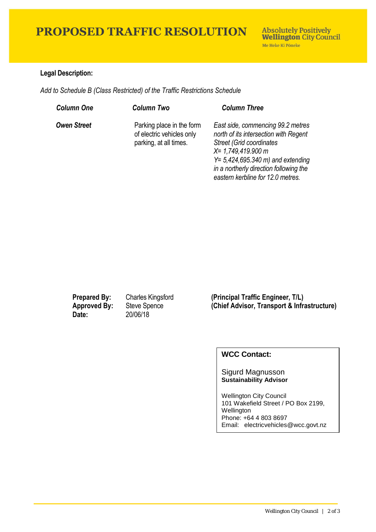# **PROPOSED TRAFFIC RESOLUTION**

## **Legal Description:**

*Add to Schedule B (Class Restricted) of the Traffic Restrictions Schedule* 

| <b>Column One</b>  | <b>Column Two</b>                                                                | <b>Column Three</b>                                                                                                                                                                                                                                                |
|--------------------|----------------------------------------------------------------------------------|--------------------------------------------------------------------------------------------------------------------------------------------------------------------------------------------------------------------------------------------------------------------|
| <b>Owen Street</b> | Parking place in the form<br>of electric vehicles only<br>parking, at all times. | East side, commencing 99.2 metres<br>north of its intersection with Regent<br><b>Street (Grid coordinates)</b><br>X= 1,749,419.900 m<br>$Y = 5,424,695.340 \text{ m}$ and extending<br>in a northerly direction following the<br>eastern kerbline for 12.0 metres. |

**Date:** 20/06/18

**Prepared By:** Charles Kingsford **(Principal Traffic Engineer, T/L) Approved By:** Steve Spence **(Chief Advisor, Transport & Infrastructure)**

## **WCC Contact:**

#### Sigurd Magnusson **Sustainability Advisor**

Wellington City Council 101 Wakefield Street / PO Box 2199, Wellington Phone: +64 4 803 8697 Email: electricvehicles@wcc.govt.nz